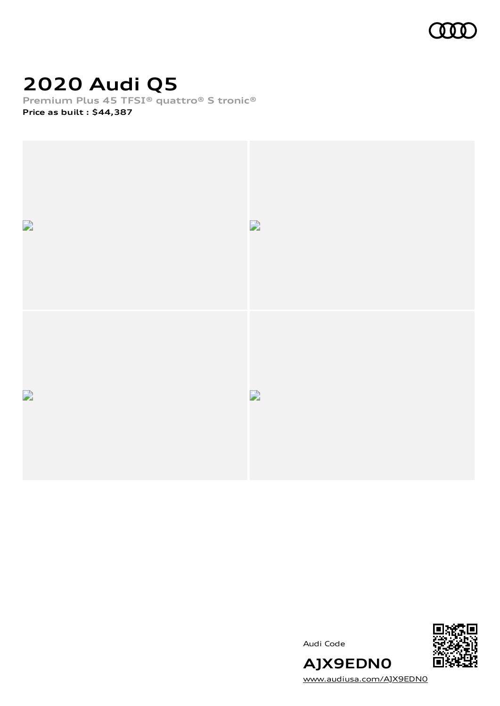

# **2020 Audi Q5**

**Premium Plus 45 TFSI® quattro® S tronic® Price as built [:](#page-8-0) \$44,387**



Audi Code



[www.audiusa.com/AJX9EDN0](https://www.audiusa.com/AJX9EDN0)

**AJX9EDN0**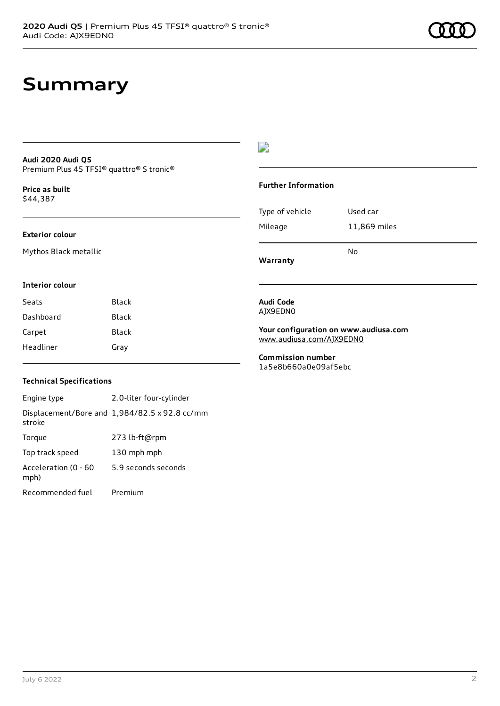#### **Audi 2020 Audi Q5** Premium Plus 45 TFSI® quattro® S tronic®

**Price as buil[t](#page-8-0)** \$44,387

#### **Exterior colour**

Mythos Black metallic

### D

#### **Further Information**

|                 | N٥           |
|-----------------|--------------|
| Mileage         | 11,869 miles |
| Type of vehicle | Used car     |

**Warranty**

**Audi Code** AJX9EDN0

#### **Interior colour**

| Seats     | Black |
|-----------|-------|
| Dashboard | Black |
| Carpet    | Black |
| Headliner | Gray  |

#### **Your configuration on www.audiusa.com** [www.audiusa.com/AJX9EDN0](https://www.audiusa.com/AJX9EDN0)

**Commission number** 1a5e8b660a0e09af5ebc

#### **Technical Specifications**

Engine type 2.0-liter four-cylinder Displacement/Bore and 1,984/82.5 x 92.8 cc/mm stroke Torque 273 lb-ft@rpm Top track speed 130 mph mph Acceleration (0 - 60 mph) 5.9 seconds seconds Recommended fuel Premium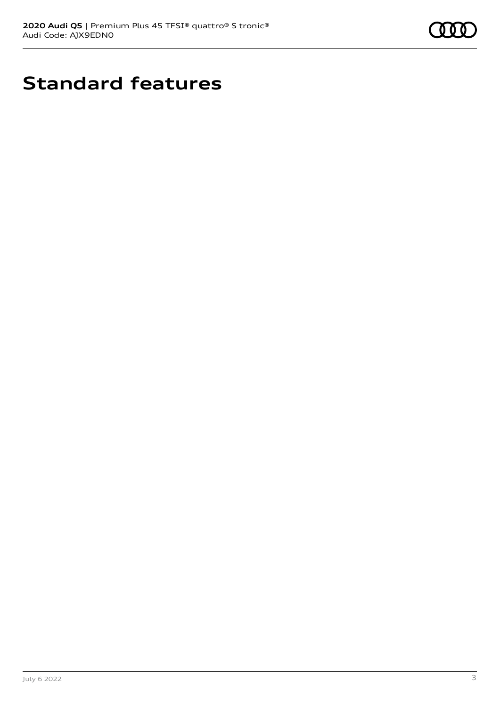

# **Standard features**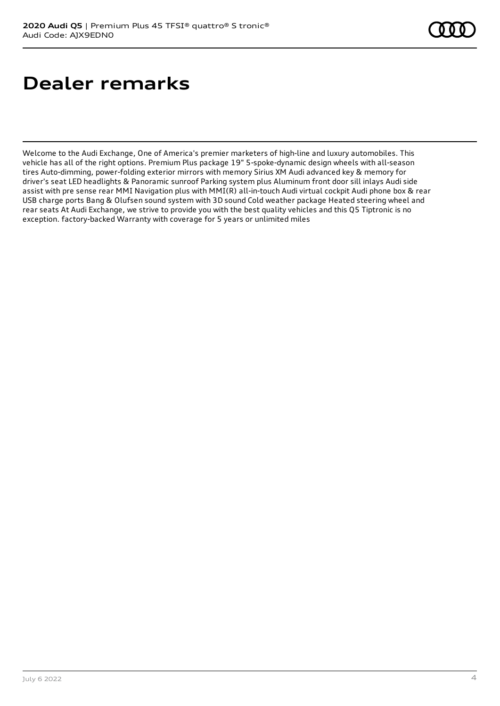# **Dealer remarks**

Welcome to the Audi Exchange, One of America's premier marketers of high-line and luxury automobiles. This vehicle has all of the right options. Premium Plus package 19" 5-spoke-dynamic design wheels with all-season tires Auto-dimming, power-folding exterior mirrors with memory Sirius XM Audi advanced key & memory for driver's seat LED headlights & Panoramic sunroof Parking system plus Aluminum front door sill inlays Audi side assist with pre sense rear MMI Navigation plus with MMI(R) all-in-touch Audi virtual cockpit Audi phone box & rear USB charge ports Bang & Olufsen sound system with 3D sound Cold weather package Heated steering wheel and rear seats At Audi Exchange, we strive to provide you with the best quality vehicles and this Q5 Tiptronic is no exception. factory-backed Warranty with coverage for 5 years or unlimited miles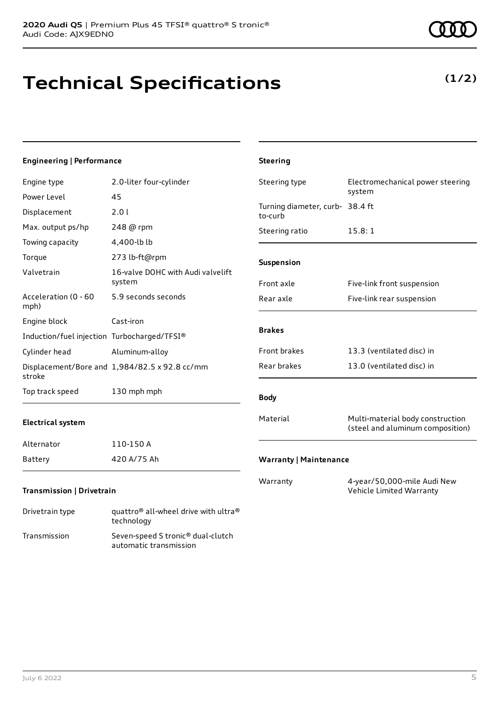## **Technical Specifications**

### **Engineering | Performance**

| Engine type                                 | 2.0-liter four-cylinder                       | Steering type                              | Electromechanical power steering                                     |
|---------------------------------------------|-----------------------------------------------|--------------------------------------------|----------------------------------------------------------------------|
| Power Level                                 | 45                                            |                                            | system                                                               |
| Displacement                                | 2.0 l                                         | Turning diameter, curb- 38.4 ft<br>to-curb |                                                                      |
| Max. output ps/hp                           | 248 @ rpm                                     | Steering ratio                             | 15.8:1                                                               |
| Towing capacity                             | 4,400-lb lb                                   |                                            |                                                                      |
| Torque                                      | 273 lb-ft@rpm                                 | Suspension                                 |                                                                      |
| Valvetrain                                  | 16-valve DOHC with Audi valvelift<br>system   | Front axle                                 | Five-link front suspension                                           |
| Acceleration (0 - 60<br>mph)                | 5.9 seconds seconds                           | Rear axle                                  | Five-link rear suspension                                            |
| Engine block                                | Cast-iron                                     |                                            |                                                                      |
| Induction/fuel injection Turbocharged/TFSI® |                                               | <b>Brakes</b>                              |                                                                      |
| Cylinder head                               | Aluminum-alloy                                | Front brakes                               | 13.3 (ventilated disc) in                                            |
| stroke                                      | Displacement/Bore and 1,984/82.5 x 92.8 cc/mm | Rear brakes                                | 13.0 (ventilated disc) in                                            |
| Top track speed                             | 130 mph mph                                   | <b>Body</b>                                |                                                                      |
| <b>Electrical system</b>                    |                                               | Material                                   | Multi-material body construction<br>(steel and aluminum composition) |
| Alternator                                  | 110-150 A                                     |                                            |                                                                      |
| Battery                                     | 420 A/75 Ah                                   | <b>Warranty   Maintenance</b>              |                                                                      |
| Transmission   Drivetrain                   |                                               | Warranty                                   | 4-year/50,000-mile Audi New<br>Vehicle Limited Warranty              |
|                                             |                                               |                                            |                                                                      |

**Steering**

| Drivetrain type | quattro <sup>®</sup> all-wheel drive with ultra <sup>®</sup><br>technology |
|-----------------|----------------------------------------------------------------------------|
| Transmission    | Seven-speed S tronic <sup>®</sup> dual-clutch<br>automatic transmission    |



### **(1/2)**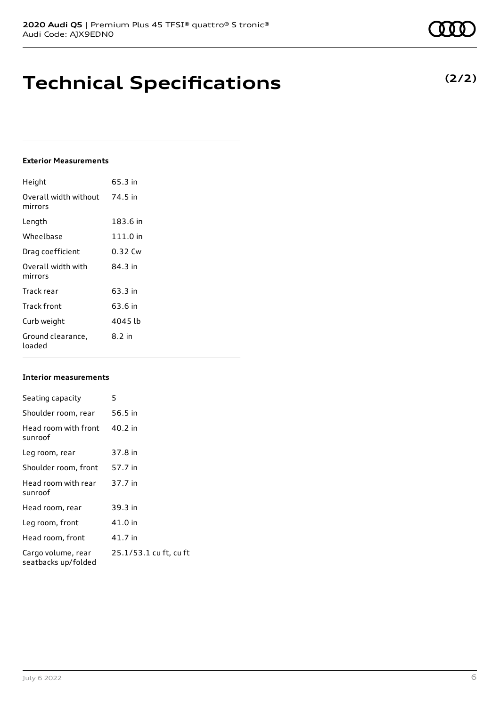## **Technical Specifications**

### **Exterior Measurements**

| Height                           | 65.3 in  |
|----------------------------------|----------|
| Overall width without<br>mirrors | 74.5 in  |
| Length                           | 183.6 in |
| Wheelbase                        | 111.0 in |
| Drag coefficient                 | 0.32 Cw  |
| Overall width with<br>mirrors    | 84.3 in  |
| Track rear                       | 63.3 in  |
| Track front                      | 63.6 in  |
| Curb weight                      | 4045 lb  |
| Ground clearance,<br>loaded      | $8.2$ in |

#### **Interior measurements**

| Seating capacity                          | 5                      |
|-------------------------------------------|------------------------|
| Shoulder room, rear                       | 56.5 in                |
| Head room with front<br>sunroof           | 40.2 in                |
| Leg room, rear                            | 37.8 in                |
| Shoulder room, front                      | 57.7 in                |
| Head room with rear<br>sunroof            | 37.7 in                |
| Head room, rear                           | 39.3 in                |
| Leg room, front                           | 41.0 in                |
| Head room, front                          | 41.7 in                |
| Cargo volume, rear<br>seatbacks up/folded | 25.1/53.1 cu ft, cu ft |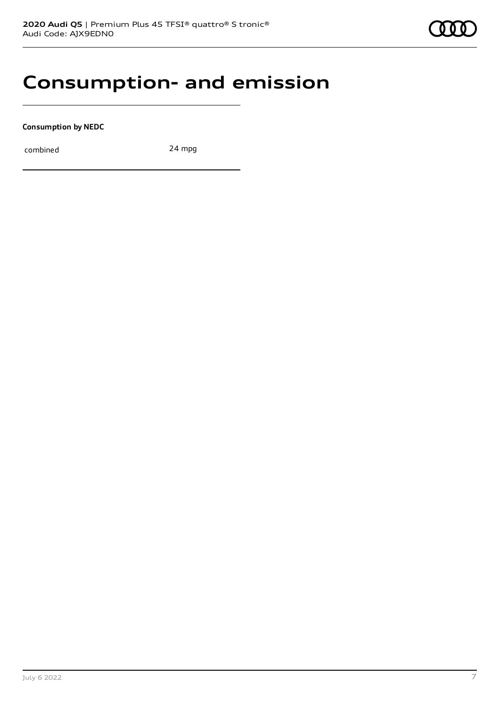### **Consumption- and emission**

**Consumption by NEDC**

combined 24 mpg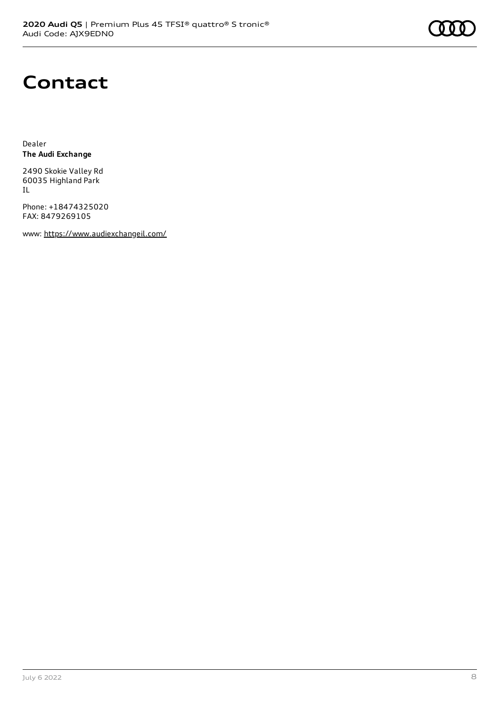### **Contact**

Dealer **The Audi Exchange**

2490 Skokie Valley Rd 60035 Highland Park IL

Phone: +18474325020 FAX: 8479269105

www: <https://www.audiexchangeil.com/>